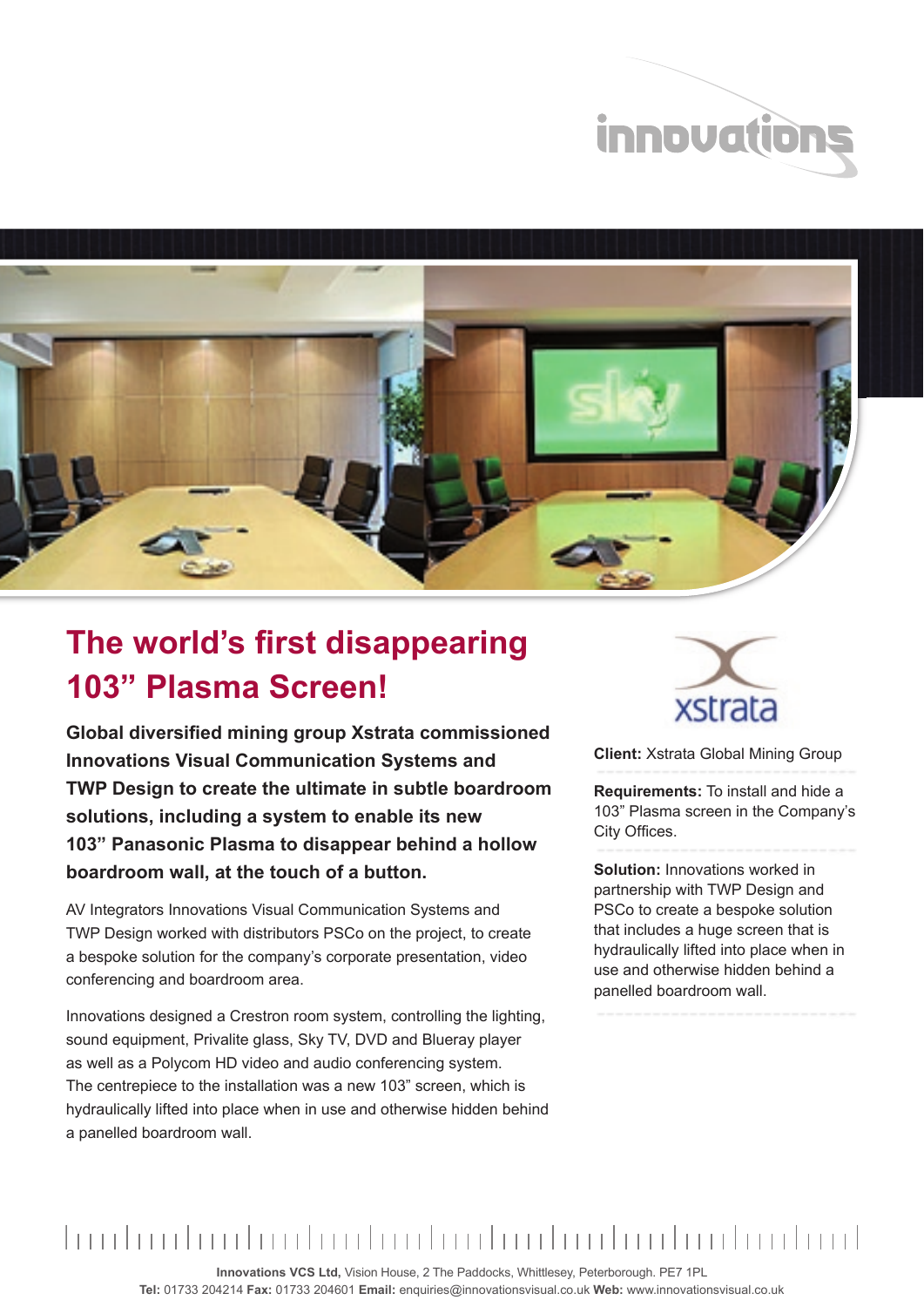



## **The world's first disappearing 103" Plasma Screen!**

**Global diversified mining group Xstrata commissioned Innovations Visual Communication Systems and TWP Design to create the ultimate in subtle boardroom solutions, including a system to enable its new 103" Panasonic Plasma to disappear behind a hollow boardroom wall, at the touch of a button.**

AV Integrators Innovations Visual Communication Systems and TWP Design worked with distributors PSCo on the project, to create a bespoke solution for the company's corporate presentation, video conferencing and boardroom area.

Innovations designed a Crestron room system, controlling the lighting, sound equipment, Privalite glass, Sky TV, DVD and Blueray player as well as a Polycom HD video and audio conferencing system. The centrepiece to the installation was a new 103" screen, which is hydraulically lifted into place when in use and otherwise hidden behind a panelled boardroom wall.



**Client:** Xstrata Global Mining Group

**Requirements:** To install and hide a 103" Plasma screen in the Company's City Offices.

**Solution:** Innovations worked in partnership with TWP Design and PSCo to create a bespoke solution that includes a huge screen that is hydraulically lifted into place when in use and otherwise hidden behind a panelled boardroom wall.

**Innovations VCS Ltd,** Vision House, 2 The Paddocks, Whittlesey, Peterborough. PE7 1PL **Tel:** 01733 204214 **Fax:** 01733 204601 **Email:** enquiries@innovationsvisual.co.uk **Web:** www.innovationsvisual.co.uk